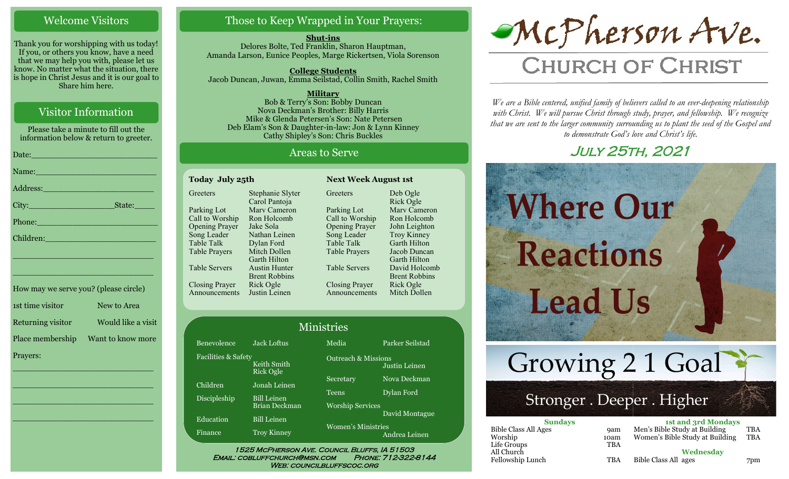#### Welcome Visitors

Thank you for worshipping with us today! If you, or others you know, have a need that we may help you with, please let us know. No matter what the situation, there is hope in Christ Jesus and it is our goal to Share him here.

#### Visitor Information

Please take a minute to fill out the information below & return to greeter.

|                             | Name: Name and the second contract of the second contract of the second contract of the second contract of the                                                                                                                |
|-----------------------------|-------------------------------------------------------------------------------------------------------------------------------------------------------------------------------------------------------------------------------|
|                             |                                                                                                                                                                                                                               |
|                             |                                                                                                                                                                                                                               |
|                             | Phone: <u>Alexander School (Alexander School)</u>                                                                                                                                                                             |
| Children: New York Children |                                                                                                                                                                                                                               |
|                             | the control of the control of the control of the control of the control of the control of the control of the control of the control of the control of the control of the control of the control of the control of the control |

| How may we serve you? (please circle) |                    |
|---------------------------------------|--------------------|
| 1st time visitor                      | New to Area        |
| Returning visitor                     | Would like a visit |
| Place membership                      | Want to know more  |
| Prayers:                              |                    |

\_\_\_\_\_\_\_\_\_\_\_\_\_\_\_\_\_\_\_\_\_\_\_\_\_\_\_\_

 $\overline{\phantom{a}}$  , and the set of the set of the set of the set of the set of the set of the set of the set of the set of the set of the set of the set of the set of the set of the set of the set of the set of the set of the s

 $\overline{\phantom{a}}$  , and the set of the set of the set of the set of the set of the set of the set of the set of the set of the set of the set of the set of the set of the set of the set of the set of the set of the set of the s

\_\_\_\_\_\_\_\_\_\_\_\_\_\_\_\_\_\_\_\_\_\_\_\_\_\_\_\_

\_\_\_\_\_\_\_\_\_\_\_\_\_\_\_\_\_\_\_\_\_\_\_\_\_\_\_\_

#### Those to Keep Wrapped in Your Prayers:

**Shut-ins** Delores Bolte, Ted Franklin, Sharon Hauptman, Amanda Larson, Eunice Peoples, Marge Rickertsen, Viola Sorenson

**College Students**  Jacob Duncan, Juwan, Emma Seilstad, Collin Smith, Rachel Smith

**Military** Bob & Terry's Son: Bobby Duncan Nova Deckman's Brother: Billy Harris Mike & Glenda Petersen's Son: Nate Petersen Deb Elam's Son & Daughter-in-law: Jon & Lynn Kinney Cathy Shipley's Son: Chris Buckles

#### Areas to Serve

**Greeters** 

| <b>Today July 25th</b> |  |  |
|------------------------|--|--|
| Stephanie Slyter       |  |  |
| Carol Pantoja          |  |  |
| Mary Cameron           |  |  |
| Ron Holcomb            |  |  |
| Jake Sola              |  |  |
| Nathan Leinen          |  |  |
| Dylan Ford             |  |  |
| Mitch Dollen           |  |  |
| <b>Garth Hilton</b>    |  |  |
| <b>Austin Hunter</b>   |  |  |
| <b>Brent Robbins</b>   |  |  |
| Rick Ogle              |  |  |
| Justin Leinen          |  |  |
|                        |  |  |

Fa

Parking Lot Call to Worship Opening Prayer Song Leader Table Talk Table Prayers Table Servers Closing Prayer Announcements Deb Ogle Rick Ogle Marv Cameron Ron Holcomb John Leighton Troy Kinney Garth Hilton Jacob Duncan Garth Hilton David Holcomb Brent Robbins Rick Ogle Mitch Dollen

**Next Week August 1st** 

|                     |                                     | <b>Ministries</b>              |                 |
|---------------------|-------------------------------------|--------------------------------|-----------------|
| Benevolence         | <b>Jack Loftus</b>                  | Media                          | Parker Seilstad |
| Facilities & Safety | Keith Smith<br>Rick Ogle            | <b>Outreach &amp; Missions</b> | Justin Leinen   |
| Children            | Jonah Leinen                        | Secretary                      | Nova Deckman    |
| Discipleship        | <b>Bill Leinen</b>                  | <b>Teens</b>                   | Dylan Ford      |
| Education           | Brian Deckman<br><b>Bill Leinen</b> | <b>Worship Services</b>        | David Montague  |
| Finance             | <b>Troy Kinney</b>                  | <b>Women's Ministries</b>      | Andrea Leinen   |

#### Email: cobluffchurch@msn.com Phone: 712-322-8144 WEB: COUNCILBLUFFSCOC.ORG



# **CHURCH OF CHRIST**

*We are a Bible centered, unified family of believers called to an ever-deepening relationship*  with Christ. We will pursue Christ through study, prayer, and fellowship. We recognize *that we are sent to the larger community surrounding us to plant the seed of the Gospel and to demonstrate God's love and Christ's life.*

## July 25th, 2021